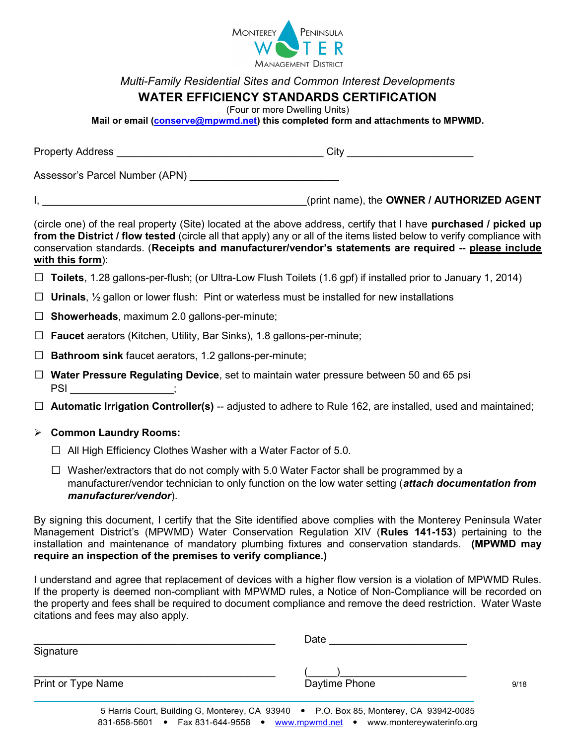

# Multi-Family Residential Sites and Common Interest Developments

## WATER EFFICIENCY STANDARDS CERTIFICATION

(Four or more Dwelling Units)

Mail or email (conserve@mpwmd.net) this completed form and attachments to MPWMD.

Property Address \_\_\_\_\_\_\_\_\_\_\_\_\_\_\_\_\_\_\_\_\_\_\_\_\_\_\_\_\_\_\_\_\_\_\_\_ City \_\_\_\_\_\_\_\_\_\_\_\_\_\_\_\_\_\_\_\_\_\_

Assessor's Parcel Number (APN) \_\_\_\_\_\_\_\_\_\_\_\_\_\_\_\_\_\_\_\_\_\_\_\_\_\_

I, \_\_\_\_\_\_\_\_\_\_\_\_\_\_\_\_\_\_\_\_\_\_\_\_\_\_\_\_\_\_\_\_\_\_\_\_\_\_\_\_\_\_\_\_\_\_(print name), the OWNER / AUTHORIZED AGENT

(circle one) of the real property (Site) located at the above address, certify that I have **purchased / picked up** from the District / flow tested (circle all that apply) any or all of the items listed below to verify compliance with conservation standards. (Receipts and manufacturer/vendor's statements are required -- please include with this form):

- $\Box$  Toilets, 1.28 gallons-per-flush; (or Ultra-Low Flush Toilets (1.6 gpf) if installed prior to January 1, 2014)
- $\Box$  Urinals,  $\frac{1}{2}$  gallon or lower flush: Pint or waterless must be installed for new installations
- $\Box$  Showerheads, maximum 2.0 gallons-per-minute;
- $\Box$  Faucet aerators (Kitchen, Utility, Bar Sinks), 1.8 gallons-per-minute;
- $\Box$  **Bathroom sink** faucet aerators, 1.2 gallons-per-minute;
- $\Box$  Water Pressure Regulating Device, set to maintain water pressure between 50 and 65 psi PSI ;
- $\Box$  Automatic Irrigation Controller(s) -- adjusted to adhere to Rule 162, are installed, used and maintained;
- $\triangleright$  Common Laundry Rooms:
	- $\Box$  All High Efficiency Clothes Washer with a Water Factor of 5.0.
	- $\square$  Washer/extractors that do not comply with 5.0 Water Factor shall be programmed by a manufacturer/vendor technician to only function on the low water setting (attach documentation from manufacturer/vendor).

By signing this document, I certify that the Site identified above complies with the Monterey Peninsula Water Management District's (MPWMD) Water Conservation Regulation XIV (Rules 141-153) pertaining to the installation and maintenance of mandatory plumbing fixtures and conservation standards. (MPWMD may require an inspection of the premises to verify compliance.)

I understand and agree that replacement of devices with a higher flow version is a violation of MPWMD Rules. If the property is deemed non-compliant with MPWMD rules, a Notice of Non-Compliance will be recorded on the property and fees shall be required to document compliance and remove the deed restriction. Water Waste citations and fees may also apply.

|                    | Date          |      |
|--------------------|---------------|------|
| Signature          |               |      |
|                    |               |      |
| Print or Type Name | Daytime Phone | 9/18 |